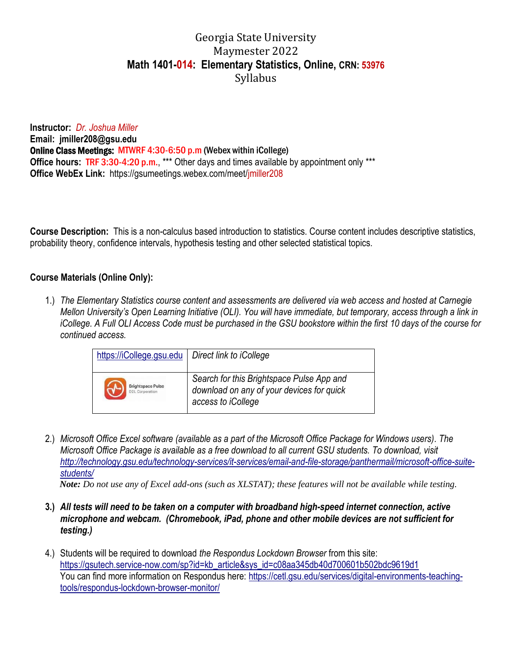# Georgia State University Maymester 2022 **Math 1401-014: Elementary Statistics, Online, CRN: 53976** Syllabus

**Instructor:** *Dr. Joshua Miller* **Email: jmiller208@gsu.edu** Online Class Meetings: MTWRF 4:30-6:50 p.m (Webex within iCollege) **Office hours: TRF 3:30-4:20 p.m., \*\*\*** Other days and times available by appointment only \*\*\* **Office WebEx Link:** https://gsumeetings.webex.com/meet/jmiller208

**Course Description:** This is a non-calculus based introduction to statistics. Course content includes descriptive statistics, probability theory, confidence intervals, hypothesis testing and other selected statistical topics.

# **Course Materials (Online Only):**

1.) *The Elementary Statistics course content and assessments are delivered via web access and hosted at Carnegie Mellon University's Open Learning Initiative (OLI). You will have immediate, but temporary, access through a link in iCollege. A Full OLI Access Code must be purchased in the GSU bookstore within the first 10 days of the course for continued access.*

| https://iCollege.gsu.edu                           | Direct link to iCollege                                                                                      |
|----------------------------------------------------|--------------------------------------------------------------------------------------------------------------|
| <b>Brightspace Pulse</b><br><b>D2L Corporation</b> | Search for this Brightspace Pulse App and<br>download on any of your devices for quick<br>access to iCollege |

2.) *Microsoft Office Excel software (available as a part of the Microsoft Office Package for Windows users). The Microsoft Office Package is available as a free download to all current GSU students. To download, visit [http://technology.gsu.edu/technology-services/it-services/email-and-file-storage/panthermail/microsoft-office-suite](http://technology.gsu.edu/technology-services/it-services/email-and-file-storage/panthermail/microsoft-office-suite-students/)[students/](http://technology.gsu.edu/technology-services/it-services/email-and-file-storage/panthermail/microsoft-office-suite-students/)*

*Note: Do not use any of Excel add-ons (such as XLSTAT); these features will not be available while testing.*

- **3.)** *All tests will need to be taken on a computer with broadband high-speed internet connection, active microphone and webcam. (Chromebook, iPad, phone and other mobile devices are not sufficient for testing.)*
- 4.) Students will be required to download *the Respondus Lockdown Browser* from this site: [https://gsutech.service-now.com/sp?id=kb\\_article&sys\\_id=c08aa345db40d700601b502bdc9619d1](https://gsutech.service-now.com/sp?id=kb_article&sys_id=c08aa345db40d700601b502bdc9619d1) You can find more information on Respondus here: [https://cetl.gsu.edu/services/digital-environments-teaching](https://cetl.gsu.edu/services/digital-environments-teaching-tools/respondus-lockdown-browser-monitor/)[tools/respondus-lockdown-browser-monitor/](https://cetl.gsu.edu/services/digital-environments-teaching-tools/respondus-lockdown-browser-monitor/)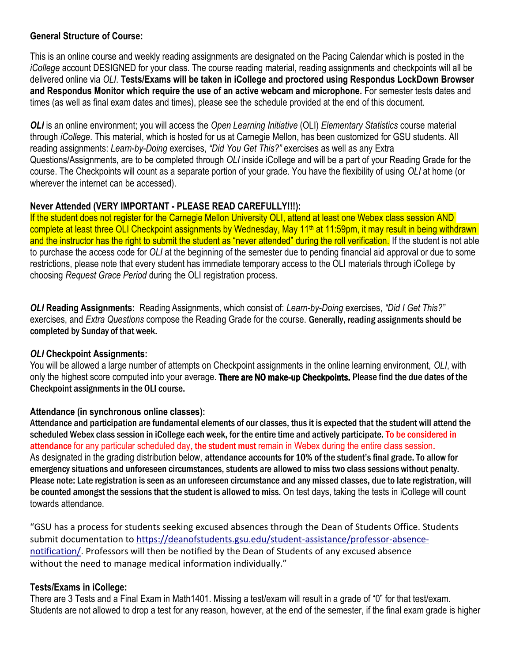## **General Structure of Course:**

This is an online course and weekly reading assignments are designated on the Pacing Calendar which is posted in the *iCollege* account DESIGNED for your class. The course reading material, reading assignments and checkpoints will all be delivered online via *OLI*. **Tests/Exams will be taken in iCollege and proctored using Respondus LockDown Browser and Respondus Monitor which require the use of an active webcam and microphone.** For semester tests dates and times (as well as final exam dates and times), please see the schedule provided at the end of this document.

*OLI* is an online environment; you will access the *Open Learning Initiative* (OLI) *Elementary Statistics* course material through *iCollege*. This material, which is hosted for us at Carnegie Mellon, has been customized for GSU students. All reading assignments: *Learn-by-Doing* exercises, *"Did You Get This?"* exercises as well as any Extra Questions/Assignments, are to be completed through *OLI* inside iCollege and will be a part of your Reading Grade for the course. The Checkpoints will count as a separate portion of your grade. You have the flexibility of using *OLI* at home (or wherever the internet can be accessed).

# **Never Attended (VERY IMPORTANT - PLEASE READ CAREFULLY!!!):**

If the student does not register for the Carnegie Mellon University OLI, attend at least one Webex class session AND complete at least three OLI Checkpoint assignments by Wednesday, May 11<sup>th</sup> at 11:59pm, it may result in being withdrawn and the instructor has the right to submit the student as "never attended" during the roll verification. If the student is not able to purchase the access code for *OLI* at the beginning of the semester due to pending financial aid approval or due to some restrictions, please note that every student has immediate temporary access to the OLI materials through iCollege by choosing *Request Grace Period* during the OLI registration process.

*OLI* **Reading Assignments:** Reading Assignments, which consist of: *Learn-by-Doing* exercises, *"Did I Get This?"* exercises, and *Extra Questions* compose the Reading Grade for the course. Generally, reading assignments should be completed by Sunday of that week.

## *OLI* **Checkpoint Assignments:**

You will be allowed a large number of attempts on Checkpoint assignments in the online learning environment, *OLI*, with only the highest score computed into your average. There are NO make-up Checkpoints. Please find the due dates of the Checkpoint assignments in the OLI course.

## **Attendance (in synchronous online classes):**

Attendance and participation are fundamental elements of our classes, thus it is expected that the student will attend the scheduled Webex class session in iCollege each week, for the entire time and actively participate. To be considered in attendance for any particular scheduled day, the student must remain in Webex during the entire class session. As designated in the grading distribution below, attendance accounts for 10% of the student's final grade. To allow for emergency situations and unforeseen circumstances, students are allowed to misstwo class sessions without penalty. Please note: Late registration is seen as an unforeseen circumstance and any missed classes, due to late registration, will be counted amongst the sessions that the student is allowed to miss. On test days, taking the tests in iCollege will count towards attendance.

"GSU has a process for students seeking excused absences through the Dean of Students Office. Students submit documentation to [https://deanofstudents.gsu.edu/student-assistance/professor-absence](https://nam11.safelinks.protection.outlook.com/?url=https%3A%2F%2Fdeanofstudents.gsu.edu%2Fstudent-assistance%2Fprofessor-absence-notification%2F&data=04%7C01%7Crsubedi%40gsu.edu%7Cc33fab0d82f64ce6be2f08d9cf0a2b95%7C515ad73d8d5e4169895c9789dc742a70%7C0%7C0%7C637768465065886447%7CUnknown%7CTWFpbGZsb3d8eyJWIjoiMC4wLjAwMDAiLCJQIjoiV2luMzIiLCJBTiI6Ik1haWwiLCJXVCI6Mn0%3D%7C3000&sdata=01dX0aAwKmjNNe1H8W2sy0jxYR3S%2BQ1C5bq3Sr1EosQ%3D&reserved=0)[notification/.](https://nam11.safelinks.protection.outlook.com/?url=https%3A%2F%2Fdeanofstudents.gsu.edu%2Fstudent-assistance%2Fprofessor-absence-notification%2F&data=04%7C01%7Crsubedi%40gsu.edu%7Cc33fab0d82f64ce6be2f08d9cf0a2b95%7C515ad73d8d5e4169895c9789dc742a70%7C0%7C0%7C637768465065886447%7CUnknown%7CTWFpbGZsb3d8eyJWIjoiMC4wLjAwMDAiLCJQIjoiV2luMzIiLCJBTiI6Ik1haWwiLCJXVCI6Mn0%3D%7C3000&sdata=01dX0aAwKmjNNe1H8W2sy0jxYR3S%2BQ1C5bq3Sr1EosQ%3D&reserved=0) Professors will then be notified by the Dean of Students of any excused absence without the need to manage medical information individually."

# **Tests/Exams in iCollege:**

There are 3 Tests and a Final Exam in Math1401. Missing a test/exam will result in a grade of "0" for that test/exam. Students are not allowed to drop a test for any reason, however, at the end of the semester, if the final exam grade is higher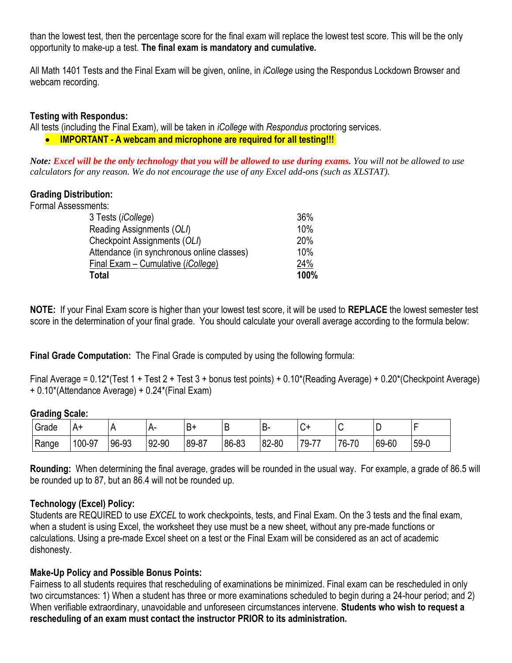than the lowest test, then the percentage score for the final exam will replace the lowest test score. This will be the only opportunity to make-up a test. **The final exam is mandatory and cumulative.**

All Math 1401 Tests and the Final Exam will be given, online, in *iCollege* using the Respondus Lockdown Browser and webcam recording.

## **Testing with Respondus:**

All tests (including the Final Exam), will be taken in *iCollege* with *Respondus* proctoring services.

• **IMPORTANT - A webcam and microphone are required for all testing!!!**

*Note: Excel will be the only technology that you will be allowed to use during exams. You will not be allowed to use calculators for any reason. We do not encourage the use of any Excel add-ons (such as XLSTAT).* 

#### **Grading Distribution:**

| Formal Assessments:                        |      |
|--------------------------------------------|------|
| 3 Tests ( <i>iCollege</i> )                | 36%  |
| Reading Assignments (OLI)                  | 10%  |
| Checkpoint Assignments (OLI)               | 20%  |
| Attendance (in synchronous online classes) | 10%  |
| Final Exam - Cumulative (iCollege)         | 24%  |
| Total                                      | 100% |

**NOTE:** If your Final Exam score is higher than your lowest test score, it will be used to **REPLACE** the lowest semester test score in the determination of your final grade. You should calculate your overall average according to the formula below:

**Final Grade Computation:** The Final Grade is computed by using the following formula:

Final Average = 0.12\*(Test 1 + Test 2 + Test 3 + bonus test points) + 0.10\*(Reading Average) + 0.20\*(Checkpoint Average) + 0.10\*(Attendance Average) + 0.24\*(Final Exam)

#### **Grading Scale:**

| Grade | A۰     |       | $\mathbf{H}$ | B.        | ◡     | ∽∽    | ⌒<br>ູ∪⊤              |             | -     |        |
|-------|--------|-------|--------------|-----------|-------|-------|-----------------------|-------------|-------|--------|
| Range | 100-97 | 96-93 | 92-90        | $89 - 87$ | 86-83 | 82-80 | 79.7<br>$\rightarrow$ | $76-$<br>70 | 69-60 | $59-0$ |

**Rounding:** When determining the final average, grades will be rounded in the usual way. For example, a grade of 86.5 will be rounded up to 87, but an 86.4 will not be rounded up.

## **Technology (Excel) Policy:**

Students are REQUIRED to use *EXCEL* to work checkpoints, tests, and Final Exam. On the 3 tests and the final exam, when a student is using Excel, the worksheet they use must be a new sheet, without any pre-made functions or calculations. Using a pre-made Excel sheet on a test or the Final Exam will be considered as an act of academic dishonesty.

#### **Make-Up Policy and Possible Bonus Points:**

Fairness to all students requires that rescheduling of examinations be minimized. Final exam can be rescheduled in only two circumstances: 1) When a student has three or more examinations scheduled to begin during a 24-hour period; and 2) When verifiable extraordinary, unavoidable and unforeseen circumstances intervene. **Students who wish to request a rescheduling of an exam must contact the instructor PRIOR to its administration.**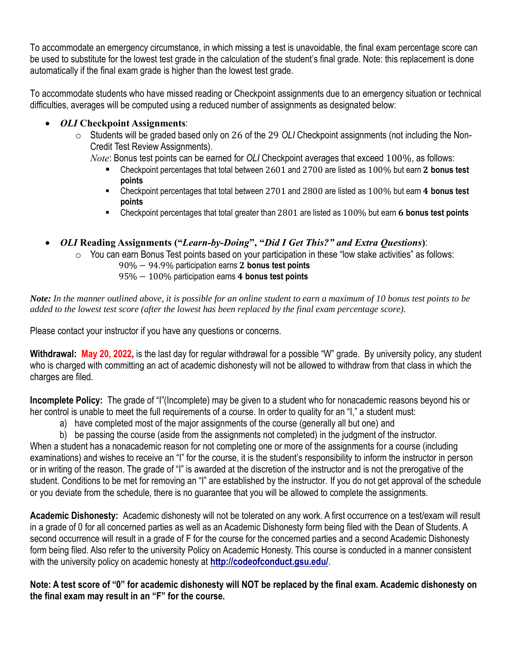To accommodate an emergency circumstance, in which missing a test is unavoidable, the final exam percentage score can be used to substitute for the lowest test grade in the calculation of the student's final grade. Note: this replacement is done automatically if the final exam grade is higher than the lowest test grade.

To accommodate students who have missed reading or Checkpoint assignments due to an emergency situation or technical difficulties, averages will be computed using a reduced number of assignments as designated below:

# • *OLI* **Checkpoint Assignments**:

- o Students will be graded based only on 26 of the 29 *OLI* Checkpoint assignments (not including the Non-Credit Test Review Assignments).
	- *Note*: Bonus test points can be earned for *OLI* Checkpoint averages that exceed 100%, as follows:
		- Checkpoint percentages that total between 2601 and 2700 are listed as 100% but earn 2 bonus test **points**
		- Checkpoint percentages that total between 2701 and 2800 are listed as 100% but earn 4 **bonus test points**
		- **EXECUTE:** Checkpoint percentages that total greater than 2801 are listed as 100% but earn 6 bonus test points
- *OLI* **Reading Assignments ("***Learn-by-Doing***", "***Did I Get This?" and Extra Questions***)**:
	- $\circ$  You can earn Bonus Test points based on your participation in these "low stake activities" as follows:
		- 90% 94.9% participation earns 2 bonus test points
		- 95% − 100% participation earns **bonus test points**

*Note: In the manner outlined above, it is possible for an online student to earn a maximum of 10 bonus test points to be added to the lowest test score (after the lowest has been replaced by the final exam percentage score).*

Please contact your instructor if you have any questions or concerns.

**Withdrawal: May 20, 2022,** is the last day for regular withdrawal for a possible "W" grade. By university policy, any student who is charged with committing an act of academic dishonesty will not be allowed to withdraw from that class in which the charges are filed.

**Incomplete Policy:** The grade of "I"(Incomplete) may be given to a student who for nonacademic reasons beyond his or her control is unable to meet the full requirements of a course. In order to quality for an "I," a student must:

- a) have completed most of the major assignments of the course (generally all but one) and
- b) be passing the course (aside from the assignments not completed) in the judgment of the instructor.

When a student has a nonacademic reason for not completing one or more of the assignments for a course (including examinations) and wishes to receive an "I" for the course, it is the student's responsibility to inform the instructor in person or in writing of the reason. The grade of "I" is awarded at the discretion of the instructor and is not the prerogative of the student. Conditions to be met for removing an "I" are established by the instructor. If you do not get approval of the schedule or you deviate from the schedule, there is no guarantee that you will be allowed to complete the assignments.

**Academic Dishonesty:** Academic dishonesty will not be tolerated on any work. A first occurrence on a test/exam will result in a grade of 0 for all concerned parties as well as an Academic Dishonesty form being filed with the Dean of Students. A second occurrence will result in a grade of F for the course for the concerned parties and a second Academic Dishonesty form being filed. Also refer to the university Policy on Academic Honesty. This course is conducted in a manner consistent with the university policy on academic honesty at **<http://codeofconduct.gsu.edu/>**.

**Note: A test score of "0" for academic dishonesty will NOT be replaced by the final exam. Academic dishonesty on the final exam may result in an "F" for the course.**